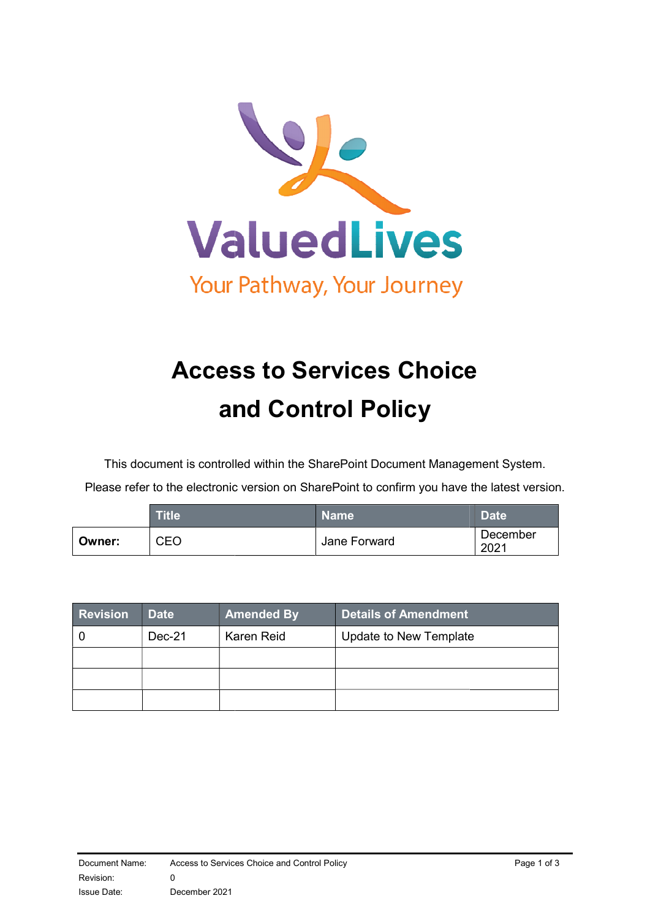

# Access to Services Choice and Control and Control Policy

This document is controlled within the SharePoint Document Management System.

Please refer to the electronic version on SharePoint to confirm you have the latest version.

|        | <b>Title</b> | <b>Name</b>  | <b>Date</b>      |
|--------|--------------|--------------|------------------|
| Owner: | CEO          | Jane Forward | December<br>2021 |

| <b>Revision</b> | <b>Date</b> | <b>Amended By</b> | <b>Details of Amendment</b> |
|-----------------|-------------|-------------------|-----------------------------|
|                 | Dec-21      | Karen Reid        | Update to New Template      |
|                 |             |                   |                             |
|                 |             |                   |                             |
|                 |             |                   |                             |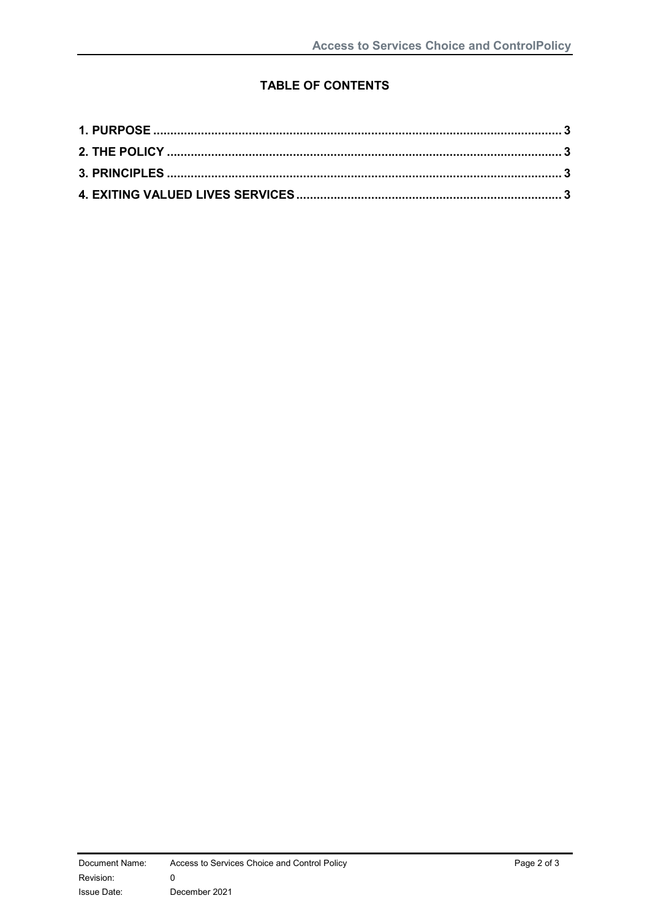### TABLE OF CONTENTS